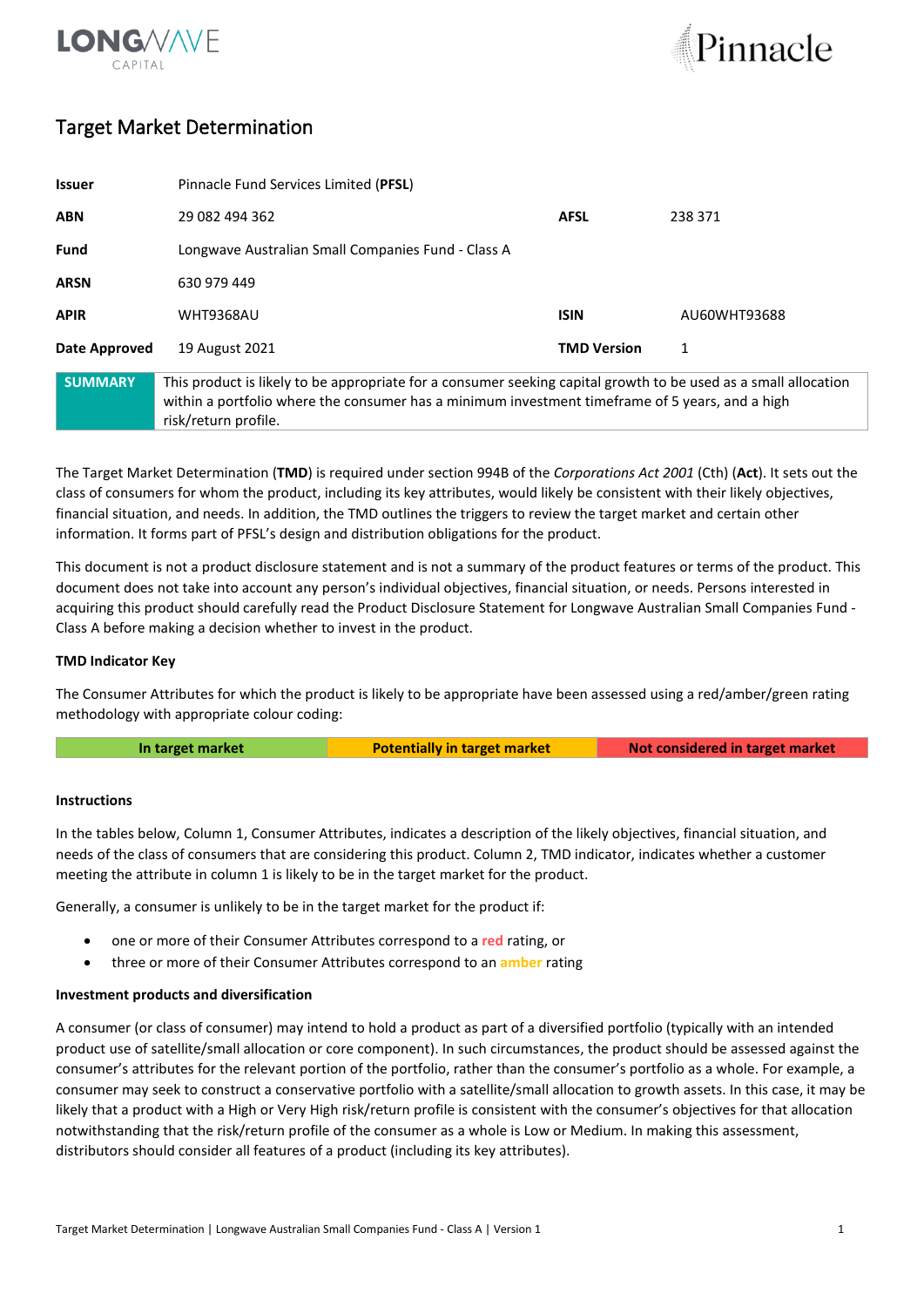



## Target Market Determination

| <b>Issuer</b>  | Pinnacle Fund Services Limited (PFSL)                                                                                                                                                                                                      |                    |              |  |
|----------------|--------------------------------------------------------------------------------------------------------------------------------------------------------------------------------------------------------------------------------------------|--------------------|--------------|--|
| <b>ABN</b>     | 29 082 494 362                                                                                                                                                                                                                             | <b>AFSL</b>        | 238 371      |  |
| Fund           | Longwave Australian Small Companies Fund - Class A                                                                                                                                                                                         |                    |              |  |
| <b>ARSN</b>    | 630 979 449                                                                                                                                                                                                                                |                    |              |  |
| <b>APIR</b>    | <b>WHT9368AU</b>                                                                                                                                                                                                                           | <b>ISIN</b>        | AU60WHT93688 |  |
| Date Approved  | 19 August 2021                                                                                                                                                                                                                             | <b>TMD Version</b> |              |  |
| <b>SUMMARY</b> | This product is likely to be appropriate for a consumer seeking capital growth to be used as a small allocation<br>within a portfolio where the consumer has a minimum investment timeframe of 5 years, and a high<br>risk/return profile. |                    |              |  |

The Target Market Determination (**TMD**) is required under section 994B of the *Corporations Act 2001* (Cth) (**Act**). It sets out the class of consumers for whom the product, including its key attributes, would likely be consistent with their likely objectives, financial situation, and needs. In addition, the TMD outlines the triggers to review the target market and certain other information. It forms part of PFSL's design and distribution obligations for the product.

This document is not a product disclosure statement and is not a summary of the product features or terms of the product. This document does not take into account any person's individual objectives, financial situation, or needs. Persons interested in acquiring this product should carefully read the Product Disclosure Statement for Longwave Australian Small Companies Fund - Class A before making a decision whether to invest in the product.

## **TMD Indicator Key**

The Consumer Attributes for which the product is likely to be appropriate have been assessed using a red/amber/green rating methodology with appropriate colour coding:

| Not considered in target market<br>In target market<br><b>Potentially in target market</b> |  |
|--------------------------------------------------------------------------------------------|--|
|--------------------------------------------------------------------------------------------|--|

### **Instructions**

In the tables below, Column 1, Consumer Attributes, indicates a description of the likely objectives, financial situation, and needs of the class of consumers that are considering this product. Column 2, TMD indicator, indicates whether a customer meeting the attribute in column 1 is likely to be in the target market for the product.

Generally, a consumer is unlikely to be in the target market for the product if:

- one or more of their Consumer Attributes correspond to a **red** rating, or
- three or more of their Consumer Attributes correspond to an **amber** rating

### **Investment products and diversification**

A consumer (or class of consumer) may intend to hold a product as part of a diversified portfolio (typically with an intended product use of satellite/small allocation or core component). In such circumstances, the product should be assessed against the consumer's attributes for the relevant portion of the portfolio, rather than the consumer's portfolio as a whole. For example, a consumer may seek to construct a conservative portfolio with a satellite/small allocation to growth assets. In this case, it may be likely that a product with a High or Very High risk/return profile is consistent with the consumer's objectives for that allocation notwithstanding that the risk/return profile of the consumer as a whole is Low or Medium. In making this assessment, distributors should consider all features of a product (including its key attributes).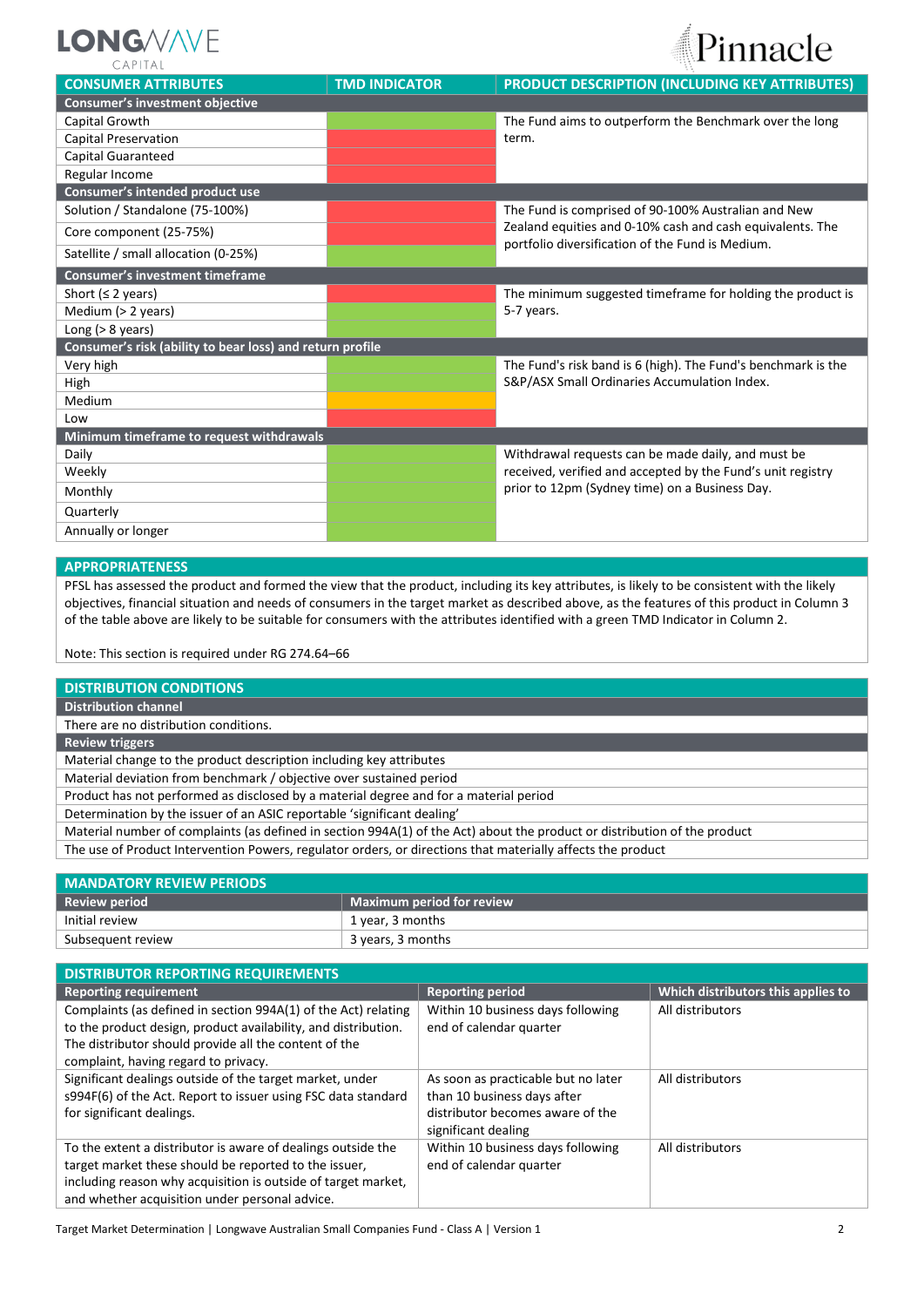

Pinnacle

| <b>CONSUMER ATTRIBUTES</b>                                | <b>TMD INDICATOR</b> | <b>PRODUCT DESCRIPTION (INCLUDING KEY ATTRIBUTES)</b>         |  |
|-----------------------------------------------------------|----------------------|---------------------------------------------------------------|--|
| Consumer's investment objective                           |                      |                                                               |  |
| Capital Growth                                            |                      | The Fund aims to outperform the Benchmark over the long       |  |
| <b>Capital Preservation</b>                               |                      | term.                                                         |  |
| Capital Guaranteed                                        |                      |                                                               |  |
| Regular Income                                            |                      |                                                               |  |
| Consumer's intended product use                           |                      |                                                               |  |
| Solution / Standalone (75-100%)                           |                      | The Fund is comprised of 90-100% Australian and New           |  |
| Core component (25-75%)                                   |                      | Zealand equities and 0-10% cash and cash equivalents. The     |  |
| Satellite / small allocation (0-25%)                      |                      | portfolio diversification of the Fund is Medium.              |  |
| <b>Consumer's investment timeframe</b>                    |                      |                                                               |  |
| Short ( $\leq$ 2 years)                                   |                      | The minimum suggested timeframe for holding the product is    |  |
| Medium $(> 2$ years)                                      |                      | 5-7 years.                                                    |  |
| Long $(> 8 \text{ years})$                                |                      |                                                               |  |
| Consumer's risk (ability to bear loss) and return profile |                      |                                                               |  |
| Very high                                                 |                      | The Fund's risk band is 6 (high). The Fund's benchmark is the |  |
| High                                                      |                      | S&P/ASX Small Ordinaries Accumulation Index.                  |  |
| Medium                                                    |                      |                                                               |  |
| Low                                                       |                      |                                                               |  |
| Minimum timeframe to request withdrawals                  |                      |                                                               |  |
| Daily                                                     |                      | Withdrawal requests can be made daily, and must be            |  |
| Weekly                                                    |                      | received, verified and accepted by the Fund's unit registry   |  |
| Monthly                                                   |                      | prior to 12pm (Sydney time) on a Business Day.                |  |
| Quarterly                                                 |                      |                                                               |  |
| Annually or longer                                        |                      |                                                               |  |

## **APPROPRIATENESS**

PFSL has assessed the product and formed the view that the product, including its key attributes, is likely to be consistent with the likely objectives, financial situation and needs of consumers in the target market as described above, as the features of this product in Column 3 of the table above are likely to be suitable for consumers with the attributes identified with a green TMD Indicator in Column 2.

Note: This section is required under RG 274.64–66

### **DISTRIBUTION CONDITIONS**

**Distribution channel**

There are no distribution conditions.

**Review triggers**

Material change to the product description including key attributes

Material deviation from benchmark / objective over sustained period

Product has not performed as disclosed by a material degree and for a material period

Determination by the issuer of an ASIC reportable 'significant dealing'

Material number of complaints (as defined in section 994A(1) of the Act) about the product or distribution of the product

The use of Product Intervention Powers, regulator orders, or directions that materially affects the product

| <b>MANDATORY REVIEW PERIODS</b> |                           |  |
|---------------------------------|---------------------------|--|
| <b>Review period</b>            | Maximum period for review |  |
| Initial review                  | 1 year, 3 months          |  |
| Subsequent review               | 3 years, 3 months         |  |

| <b>DISTRIBUTOR REPORTING REQUIREMENTS</b>                      |                                     |                                    |
|----------------------------------------------------------------|-------------------------------------|------------------------------------|
| <b>Reporting requirement</b>                                   | <b>Reporting period</b>             | Which distributors this applies to |
| Complaints (as defined in section 994A(1) of the Act) relating | Within 10 business days following   | All distributors                   |
| to the product design, product availability, and distribution. | end of calendar quarter             |                                    |
| The distributor should provide all the content of the          |                                     |                                    |
| complaint, having regard to privacy.                           |                                     |                                    |
| Significant dealings outside of the target market, under       | As soon as practicable but no later | All distributors                   |
| s994F(6) of the Act. Report to issuer using FSC data standard  | than 10 business days after         |                                    |
| for significant dealings.                                      | distributor becomes aware of the    |                                    |
|                                                                | significant dealing                 |                                    |
| To the extent a distributor is aware of dealings outside the   | Within 10 business days following   | All distributors                   |
| target market these should be reported to the issuer,          | end of calendar quarter             |                                    |
| including reason why acquisition is outside of target market,  |                                     |                                    |
| and whether acquisition under personal advice.                 |                                     |                                    |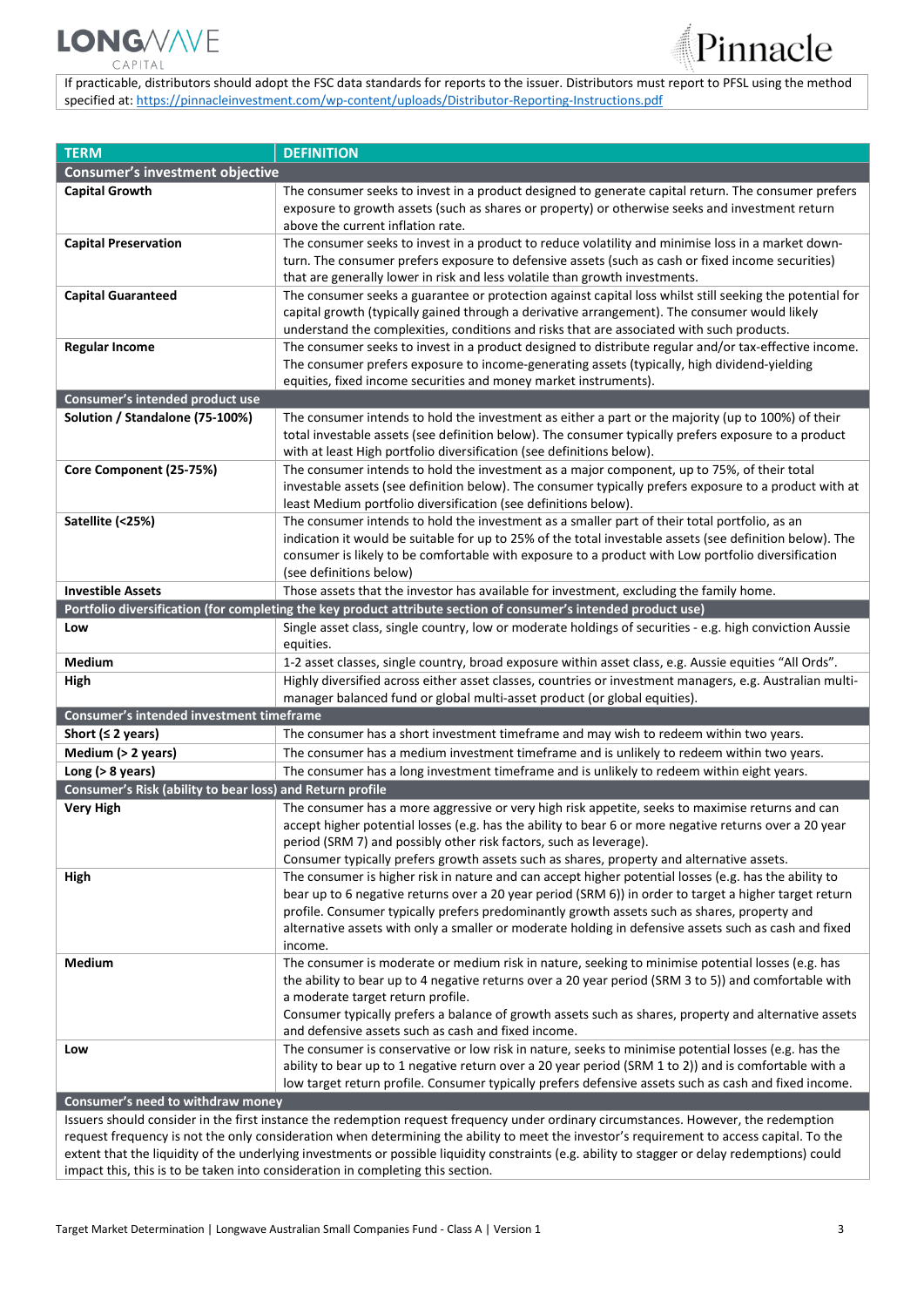## **LONG/V/VE** CAP

<sup>2</sup>innacle

If practicable, distributors should adopt the FSC data standards for reports to the issuer. Distributors must report to PFSL using the method specified at: [https://pinnacleinvestment.com/wp-content/uploads/Distributor-Reporting-Instructions.pdf](https://aus01.safelinks.protection.outlook.com/?url=https%3A%2F%2Fpinnacleinvestment.com%2Fwp-content%2Fuploads%2FDistributor-Reporting-Instructions.pdf&data=04%7C01%7CRobbie.Zhong%40pinnacleinvestment.com%7Cb4c1b788df954b03f26408d9675577fa%7C35cf8e31ecbc469399faa3d4d4dbd0de%7C0%7C0%7C637654439063852174%7CUnknown%7CTWFpbGZsb3d8eyJWIjoiMC4wLjAwMDAiLCJQIjoiV2luMzIiLCJBTiI6Ik1haWwiLCJXVCI6Mn0%3D%7C1000&sdata=z3%2BDpshdl6t4wDnSgUIdZS0YIuaCk9GXg1FCwIAbEV4%3D&reserved=0)

| <b>TERM</b>                                               | <b>DEFINITION</b>                                                                                                                                                                                          |
|-----------------------------------------------------------|------------------------------------------------------------------------------------------------------------------------------------------------------------------------------------------------------------|
| <b>Consumer's investment objective</b>                    |                                                                                                                                                                                                            |
| <b>Capital Growth</b>                                     | The consumer seeks to invest in a product designed to generate capital return. The consumer prefers                                                                                                        |
|                                                           | exposure to growth assets (such as shares or property) or otherwise seeks and investment return                                                                                                            |
|                                                           | above the current inflation rate.                                                                                                                                                                          |
| <b>Capital Preservation</b>                               | The consumer seeks to invest in a product to reduce volatility and minimise loss in a market down-                                                                                                         |
|                                                           | turn. The consumer prefers exposure to defensive assets (such as cash or fixed income securities)                                                                                                          |
|                                                           | that are generally lower in risk and less volatile than growth investments.                                                                                                                                |
| <b>Capital Guaranteed</b>                                 | The consumer seeks a guarantee or protection against capital loss whilst still seeking the potential for                                                                                                   |
|                                                           | capital growth (typically gained through a derivative arrangement). The consumer would likely                                                                                                              |
|                                                           | understand the complexities, conditions and risks that are associated with such products.                                                                                                                  |
| <b>Regular Income</b>                                     | The consumer seeks to invest in a product designed to distribute regular and/or tax-effective income.                                                                                                      |
|                                                           | The consumer prefers exposure to income-generating assets (typically, high dividend-yielding                                                                                                               |
|                                                           | equities, fixed income securities and money market instruments).                                                                                                                                           |
| Consumer's intended product use                           |                                                                                                                                                                                                            |
| Solution / Standalone (75-100%)                           | The consumer intends to hold the investment as either a part or the majority (up to 100%) of their                                                                                                         |
|                                                           | total investable assets (see definition below). The consumer typically prefers exposure to a product                                                                                                       |
|                                                           | with at least High portfolio diversification (see definitions below).                                                                                                                                      |
| Core Component (25-75%)                                   | The consumer intends to hold the investment as a major component, up to 75%, of their total                                                                                                                |
|                                                           | investable assets (see definition below). The consumer typically prefers exposure to a product with at                                                                                                     |
|                                                           | least Medium portfolio diversification (see definitions below).                                                                                                                                            |
| Satellite (<25%)                                          | The consumer intends to hold the investment as a smaller part of their total portfolio, as an                                                                                                              |
|                                                           | indication it would be suitable for up to 25% of the total investable assets (see definition below). The                                                                                                   |
|                                                           | consumer is likely to be comfortable with exposure to a product with Low portfolio diversification                                                                                                         |
| <b>Investible Assets</b>                                  | (see definitions below)                                                                                                                                                                                    |
|                                                           | Those assets that the investor has available for investment, excluding the family home.<br>Portfolio diversification (for completing the key product attribute section of consumer's intended product use) |
| Low                                                       | Single asset class, single country, low or moderate holdings of securities - e.g. high conviction Aussie                                                                                                   |
|                                                           | equities.                                                                                                                                                                                                  |
| Medium                                                    | 1-2 asset classes, single country, broad exposure within asset class, e.g. Aussie equities "All Ords".                                                                                                     |
| High                                                      | Highly diversified across either asset classes, countries or investment managers, e.g. Australian multi-                                                                                                   |
|                                                           | manager balanced fund or global multi-asset product (or global equities).                                                                                                                                  |
| Consumer's intended investment timeframe                  |                                                                                                                                                                                                            |
| Short ( $\leq$ 2 years)                                   | The consumer has a short investment timeframe and may wish to redeem within two years.                                                                                                                     |
| Medium (> 2 years)                                        | The consumer has a medium investment timeframe and is unlikely to redeem within two years.                                                                                                                 |
| Long $(> 8$ years)                                        | The consumer has a long investment timeframe and is unlikely to redeem within eight years.                                                                                                                 |
| Consumer's Risk (ability to bear loss) and Return profile |                                                                                                                                                                                                            |
| <b>Very High</b>                                          | The consumer has a more aggressive or very high risk appetite, seeks to maximise returns and can                                                                                                           |
|                                                           | accept higher potential losses (e.g. has the ability to bear 6 or more negative returns over a 20 year                                                                                                     |
|                                                           | period (SRM 7) and possibly other risk factors, such as leverage).                                                                                                                                         |
|                                                           | Consumer typically prefers growth assets such as shares, property and alternative assets.                                                                                                                  |
| High                                                      | The consumer is higher risk in nature and can accept higher potential losses (e.g. has the ability to                                                                                                      |
|                                                           | bear up to 6 negative returns over a 20 year period (SRM 6)) in order to target a higher target return                                                                                                     |
|                                                           | profile. Consumer typically prefers predominantly growth assets such as shares, property and                                                                                                               |
|                                                           | alternative assets with only a smaller or moderate holding in defensive assets such as cash and fixed                                                                                                      |
|                                                           | income.                                                                                                                                                                                                    |
| Medium                                                    | The consumer is moderate or medium risk in nature, seeking to minimise potential losses (e.g. has                                                                                                          |
|                                                           | the ability to bear up to 4 negative returns over a 20 year period (SRM 3 to 5)) and comfortable with                                                                                                      |
|                                                           | a moderate target return profile.                                                                                                                                                                          |
|                                                           | Consumer typically prefers a balance of growth assets such as shares, property and alternative assets                                                                                                      |
|                                                           | and defensive assets such as cash and fixed income.                                                                                                                                                        |
| Low                                                       | The consumer is conservative or low risk in nature, seeks to minimise potential losses (e.g. has the                                                                                                       |
|                                                           | ability to bear up to 1 negative return over a 20 year period (SRM 1 to 2)) and is comfortable with a                                                                                                      |
|                                                           | low target return profile. Consumer typically prefers defensive assets such as cash and fixed income.                                                                                                      |
| Consumer's need to withdraw money                         |                                                                                                                                                                                                            |
|                                                           | Issuers should consider in the first instance the redemption request frequency under ordinary circumstances. However, the redemption                                                                       |

Issuers should consider in the first instance the redemption request frequency under ordinary circumstances. However, the redemption request frequency is not the only consideration when determining the ability to meet the investor's requirement to access capital. To the extent that the liquidity of the underlying investments or possible liquidity constraints (e.g. ability to stagger or delay redemptions) could impact this, this is to be taken into consideration in completing this section.